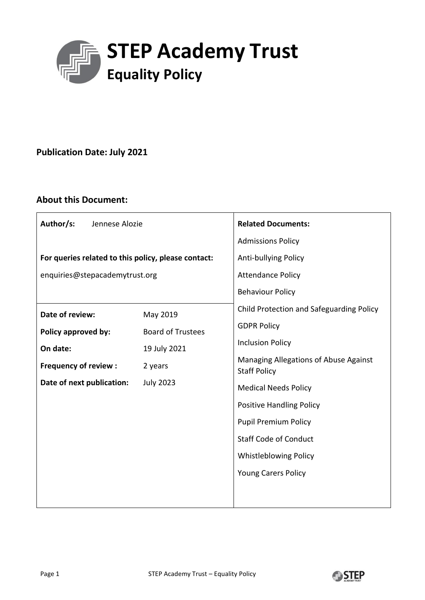

# **Publication Date: July 2021**

# **About this Document:**

| Author/s:<br>Jennese Alozie                         |                                                      | <b>Related Documents:</b>                                                                   |  |  |  |
|-----------------------------------------------------|------------------------------------------------------|---------------------------------------------------------------------------------------------|--|--|--|
|                                                     |                                                      | <b>Admissions Policy</b>                                                                    |  |  |  |
| For queries related to this policy, please contact: |                                                      | Anti-bullying Policy<br><b>Attendance Policy</b>                                            |  |  |  |
| enquiries@stepacademytrust.org                      |                                                      |                                                                                             |  |  |  |
|                                                     |                                                      | <b>Behaviour Policy</b>                                                                     |  |  |  |
| Date of review:<br>Policy approved by:<br>On date:  | May 2019<br><b>Board of Trustees</b><br>19 July 2021 | Child Protection and Safeguarding Policy                                                    |  |  |  |
|                                                     |                                                      | <b>GDPR Policy</b>                                                                          |  |  |  |
|                                                     |                                                      | <b>Inclusion Policy</b>                                                                     |  |  |  |
| <b>Frequency of review:</b>                         | 2 years                                              | Managing Allegations of Abuse Against<br><b>Staff Policy</b><br><b>Medical Needs Policy</b> |  |  |  |
| Date of next publication:                           | <b>July 2023</b>                                     |                                                                                             |  |  |  |
|                                                     |                                                      | <b>Positive Handling Policy</b><br><b>Pupil Premium Policy</b>                              |  |  |  |
|                                                     |                                                      |                                                                                             |  |  |  |
|                                                     |                                                      | <b>Whistleblowing Policy</b>                                                                |  |  |  |
|                                                     |                                                      | <b>Young Carers Policy</b>                                                                  |  |  |  |
|                                                     |                                                      |                                                                                             |  |  |  |
|                                                     |                                                      |                                                                                             |  |  |  |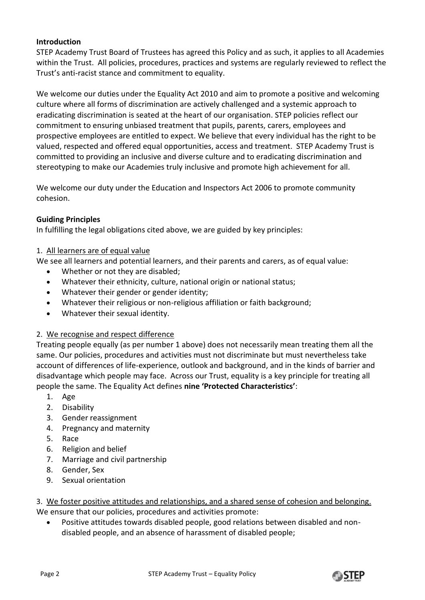# **Introduction**

STEP Academy Trust Board of Trustees has agreed this Policy and as such, it applies to all Academies within the Trust. All policies, procedures, practices and systems are regularly reviewed to reflect the Trust's anti-racist stance and commitment to equality.

We welcome our duties under the Equality Act 2010 and aim to promote a positive and welcoming culture where all forms of discrimination are actively challenged and a systemic approach to eradicating discrimination is seated at the heart of our organisation. STEP policies reflect our commitment to ensuring unbiased treatment that pupils, parents, carers, employees and prospective employees are entitled to expect. We believe that every individual has the right to be valued, respected and offered equal opportunities, access and treatment. STEP Academy Trust is committed to providing an inclusive and diverse culture and to eradicating discrimination and stereotyping to make our Academies truly inclusive and promote high achievement for all.

We welcome our duty under the Education and Inspectors Act 2006 to promote community cohesion.

## **Guiding Principles**

In fulfilling the legal obligations cited above, we are guided by key principles:

## 1. All learners are of equal value

We see all learners and potential learners, and their parents and carers, as of equal value:

- Whether or not they are disabled;
- Whatever their ethnicity, culture, national origin or national status;
- Whatever their gender or gender identity;
- Whatever their religious or non-religious affiliation or faith background;
- Whatever their sexual identity.

## 2. We recognise and respect difference

Treating people equally (as per number 1 above) does not necessarily mean treating them all the same. Our policies, procedures and activities must not discriminate but must nevertheless take account of differences of life-experience, outlook and background, and in the kinds of barrier and disadvantage which people may face. Across our Trust, equality is a key principle for treating all people the same. The Equality Act defines **nine 'Protected Characteristics'**:

- 1. Age
- 2. Disability
- 3. Gender reassignment
- 4. Pregnancy and maternity
- 5. Race
- 6. Religion and belief
- 7. Marriage and civil partnership
- 8. Gender, Sex
- 9. Sexual orientation

3. We foster positive attitudes and relationships, and a shared sense of cohesion and belonging. We ensure that our policies, procedures and activities promote:

 Positive attitudes towards disabled people, good relations between disabled and nondisabled people, and an absence of harassment of disabled people;

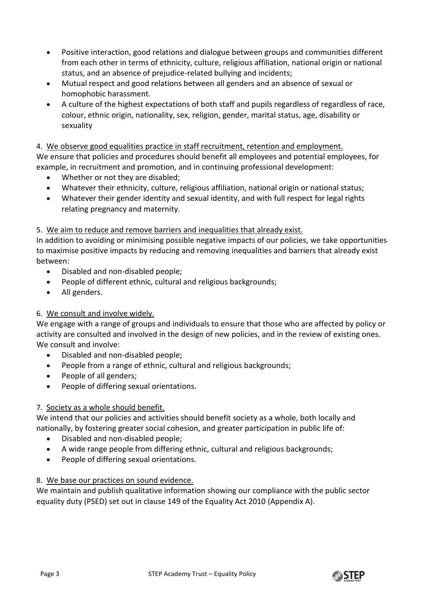- Positive interaction, good relations and dialogue between groups and communities different from each other in terms of ethnicity, culture, religious affiliation, national origin or national status, and an absence of prejudice-related bullying and incidents;
- Mutual respect and good relations between all genders and an absence of sexual or homophobic harassment.
- A culture of the highest expectations of both staff and pupils regardless of regardless of race, colour, ethnic origin, nationality, sex, religion, gender, marital status, age, disability or sexuality

4. We observe good equalities practice in staff recruitment, retention and employment.

We ensure that policies and procedures should benefit all employees and potential employees, for example, in recruitment and promotion, and in continuing professional development:

- Whether or not they are disabled;
- Whatever their ethnicity, culture, religious affiliation, national origin or national status;
- Whatever their gender identity and sexual identity, and with full respect for legal rights relating pregnancy and maternity.

# 5. We aim to reduce and remove barriers and inequalities that already exist.

In addition to avoiding or minimising possible negative impacts of our policies, we take opportunities to maximise positive impacts by reducing and removing inequalities and barriers that already exist between:

- Disabled and non-disabled people;
- People of different ethnic, cultural and religious backgrounds;
- All genders.

# 6. We consult and involve widely.

We engage with a range of groups and individuals to ensure that those who are affected by policy or activity are consulted and involved in the design of new policies, and in the review of existing ones. We consult and involve:

- Disabled and non-disabled people;
- People from a range of ethnic, cultural and religious backgrounds;
- People of all genders;
- People of differing sexual orientations.

# 7. Society as a whole should benefit.

We intend that our policies and activities should benefit society as a whole, both locally and nationally, by fostering greater social cohesion, and greater participation in public life of:

- Disabled and non-disabled people;
- A wide range people from differing ethnic, cultural and religious backgrounds;
- People of differing sexual orientations.

# 8. We base our practices on sound evidence.

We maintain and publish qualitative information showing our compliance with the public sector equality duty (PSED) set out in clause 149 of the Equality Act 2010 (Appendix A).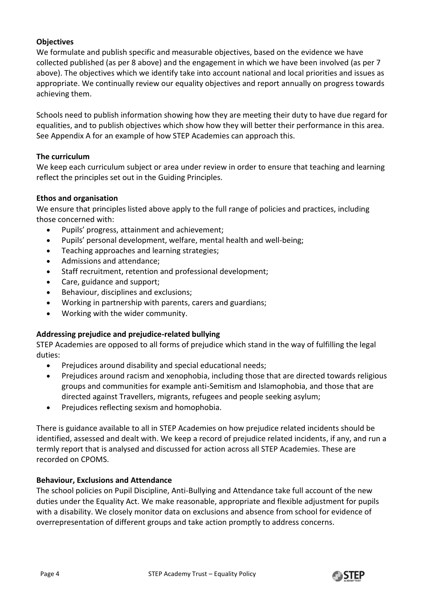# **Objectives**

We formulate and publish specific and measurable objectives, based on the evidence we have collected published (as per 8 above) and the engagement in which we have been involved (as per 7 above). The objectives which we identify take into account national and local priorities and issues as appropriate. We continually review our equality objectives and report annually on progress towards achieving them.

Schools need to publish information showing how they are meeting their duty to have due regard for equalities, and to publish objectives which show how they will better their performance in this area. See Appendix A for an example of how STEP Academies can approach this.

# **The curriculum**

We keep each curriculum subject or area under review in order to ensure that teaching and learning reflect the principles set out in the Guiding Principles.

# **Ethos and organisation**

We ensure that principles listed above apply to the full range of policies and practices, including those concerned with:

- Pupils' progress, attainment and achievement;
- Pupils' personal development, welfare, mental health and well-being;
- Teaching approaches and learning strategies;
- Admissions and attendance;
- Staff recruitment, retention and professional development;
- Care, guidance and support;
- **•** Behaviour, disciplines and exclusions;
- Working in partnership with parents, carers and guardians;
- Working with the wider community.

## **Addressing prejudice and prejudice-related bullying**

STEP Academies are opposed to all forms of prejudice which stand in the way of fulfilling the legal duties:

- Prejudices around disability and special educational needs;
- Prejudices around racism and xenophobia, including those that are directed towards religious groups and communities for example anti-Semitism and Islamophobia, and those that are directed against Travellers, migrants, refugees and people seeking asylum;
- Prejudices reflecting sexism and homophobia.

There is guidance available to all in STEP Academies on how prejudice related incidents should be identified, assessed and dealt with. We keep a record of prejudice related incidents, if any, and run a termly report that is analysed and discussed for action across all STEP Academies. These are recorded on CPOMS.

## **Behaviour, Exclusions and Attendance**

The school policies on Pupil Discipline, Anti-Bullying and Attendance take full account of the new duties under the Equality Act. We make reasonable, appropriate and flexible adjustment for pupils with a disability. We closely monitor data on exclusions and absence from school for evidence of overrepresentation of different groups and take action promptly to address concerns.

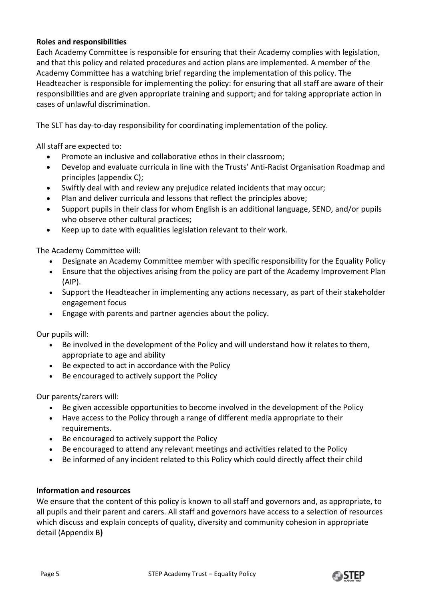# **Roles and responsibilities**

Each Academy Committee is responsible for ensuring that their Academy complies with legislation, and that this policy and related procedures and action plans are implemented. A member of the Academy Committee has a watching brief regarding the implementation of this policy. The Headteacher is responsible for implementing the policy: for ensuring that all staff are aware of their responsibilities and are given appropriate training and support; and for taking appropriate action in cases of unlawful discrimination.

The SLT has day-to-day responsibility for coordinating implementation of the policy.

All staff are expected to:

- Promote an inclusive and collaborative ethos in their classroom;
- Develop and evaluate curricula in line with the Trusts' Anti-Racist Organisation Roadmap and principles (appendix C);
- Swiftly deal with and review any prejudice related incidents that may occur;
- Plan and deliver curricula and lessons that reflect the principles above;
- Support pupils in their class for whom English is an additional language, SEND, and/or pupils who observe other cultural practices;
- Keep up to date with equalities legislation relevant to their work.

The Academy Committee will:

- Designate an Academy Committee member with specific responsibility for the Equality Policy
- Ensure that the objectives arising from the policy are part of the Academy Improvement Plan (AIP).
- Support the Headteacher in implementing any actions necessary, as part of their stakeholder engagement focus
- Engage with parents and partner agencies about the policy.

Our pupils will:

- Be involved in the development of the Policy and will understand how it relates to them, appropriate to age and ability
- Be expected to act in accordance with the Policy
- Be encouraged to actively support the Policy

Our parents/carers will:

- Be given accessible opportunities to become involved in the development of the Policy
- Have access to the Policy through a range of different media appropriate to their requirements.
- Be encouraged to actively support the Policy
- Be encouraged to attend any relevant meetings and activities related to the Policy
- Be informed of any incident related to this Policy which could directly affect their child

## **Information and resources**

We ensure that the content of this policy is known to all staff and governors and, as appropriate, to all pupils and their parent and carers. All staff and governors have access to a selection of resources which discuss and explain concepts of quality, diversity and community cohesion in appropriate detail (Appendix B**)**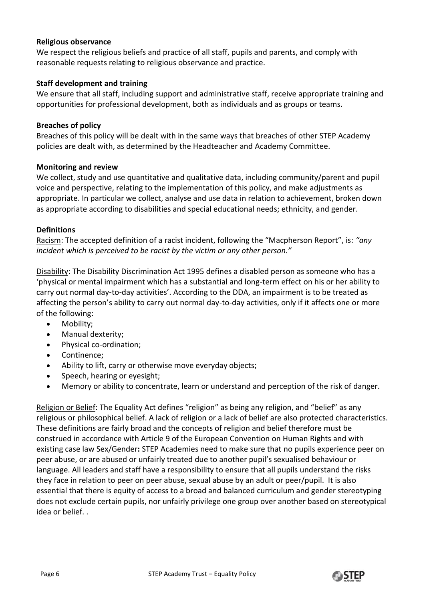## **Religious observance**

We respect the religious beliefs and practice of all staff, pupils and parents, and comply with reasonable requests relating to religious observance and practice.

# **Staff development and training**

We ensure that all staff, including support and administrative staff, receive appropriate training and opportunities for professional development, both as individuals and as groups or teams.

### **Breaches of policy**

Breaches of this policy will be dealt with in the same ways that breaches of other STEP Academy policies are dealt with, as determined by the Headteacher and Academy Committee.

#### **Monitoring and review**

We collect, study and use quantitative and qualitative data, including community/parent and pupil voice and perspective, relating to the implementation of this policy, and make adjustments as appropriate. In particular we collect, analyse and use data in relation to achievement, broken down as appropriate according to disabilities and special educational needs; ethnicity, and gender.

#### **Definitions**

Racism: The accepted definition of a racist incident, following the "Macpherson Report", is: *"any incident which is perceived to be racist by the victim or any other person."*

Disability: The Disability Discrimination Act 1995 defines a disabled person as someone who has a 'physical or mental impairment which has a substantial and long-term effect on his or her ability to carry out normal day-to-day activities'. According to the DDA, an impairment is to be treated as affecting the person's ability to carry out normal day-to-day activities, only if it affects one or more of the following:

- Mobility;
- Manual dexterity;
- Physical co-ordination;
- Continence:
- Ability to lift, carry or otherwise move everyday objects;
- Speech, hearing or eyesight;
- Memory or ability to concentrate, learn or understand and perception of the risk of danger.

Religion or Belief: The Equality Act defines "religion" as being any religion, and "belief" as any religious or philosophical belief. A lack of religion or a lack of belief are also protected characteristics. These definitions are fairly broad and the concepts of religion and belief therefore must be construed in accordance with Article 9 of the European Convention on Human Rights and with existing case law Sex/Gender**:** STEP Academies need to make sure that no pupils experience peer on peer abuse, or are abused or unfairly treated due to another pupil's sexualised behaviour or language. All leaders and staff have a responsibility to ensure that all pupils understand the risks they face in relation to peer on peer abuse, sexual abuse by an adult or peer/pupil. It is also essential that there is equity of access to a broad and balanced curriculum and gender stereotyping does not exclude certain pupils, nor unfairly privilege one group over another based on stereotypical idea or belief. .

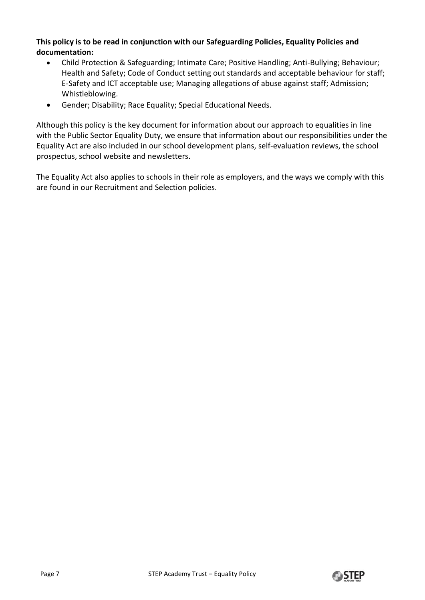# **This policy is to be read in conjunction with our Safeguarding Policies, Equality Policies and documentation:**

- Child Protection & Safeguarding; Intimate Care; Positive Handling; Anti-Bullying; Behaviour; Health and Safety; Code of Conduct setting out standards and acceptable behaviour for staff; E-Safety and ICT acceptable use; Managing allegations of abuse against staff; Admission; Whistleblowing.
- Gender; Disability; Race Equality; Special Educational Needs.

Although this policy is the key document for information about our approach to equalities in line with the Public Sector Equality Duty, we ensure that information about our responsibilities under the Equality Act are also included in our school development plans, self-evaluation reviews, the school prospectus, school website and newsletters.

The Equality Act also applies to schools in their role as employers, and the ways we comply with this are found in our Recruitment and Selection policies.

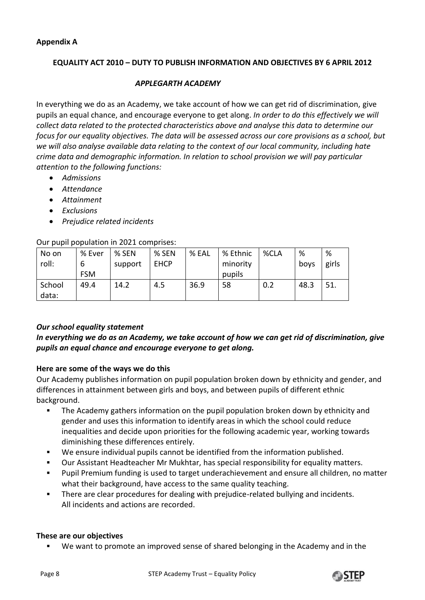# **EQUALITY ACT 2010 – DUTY TO PUBLISH INFORMATION AND OBJECTIVES BY 6 APRIL 2012**

## *APPLEGARTH ACADEMY*

In everything we do as an Academy, we take account of how we can get rid of discrimination, give pupils an equal chance, and encourage everyone to get along. *In order to do this effectively we will collect data related to the protected characteristics above and analyse this data to determine our focus for our equality objectives. The data will be assessed across our core provisions as a school, but we will also analyse available data relating to the context of our local community, including hate crime data and demographic information. In relation to school provision we will pay particular attention to the following functions:*

- *Admissions*
- *Attendance*
- *Attainment*
- *Exclusions*
- *Prejudice related incidents*

#### Our pupil population in 2021 comprises:

| No on           | % Ever     | % SEN   | % SEN       | % EAL | % Ethnic | %CLA | %    | %     |
|-----------------|------------|---------|-------------|-------|----------|------|------|-------|
| roll:           | b          | support | <b>EHCP</b> |       | minority |      | boys | girls |
|                 | <b>FSM</b> |         |             |       | pupils   |      |      |       |
| School<br>data: | 49.4       | 14.2    | 4.5         | 36.9  | 58       | 0.2  | 48.3 | 51.   |

## *Our school equality statement*

# *In everything we do as an Academy, we take account of how we can get rid of discrimination, give pupils an equal chance and encourage everyone to get along.*

## **Here are some of the ways we do this**

Our Academy publishes information on pupil population broken down by ethnicity and gender, and differences in attainment between girls and boys, and between pupils of different ethnic background.

- The Academy gathers information on the pupil population broken down by ethnicity and gender and uses this information to identify areas in which the school could reduce inequalities and decide upon priorities for the following academic year, working towards diminishing these differences entirely.
- We ensure individual pupils cannot be identified from the information published.
- Our Assistant Headteacher Mr Mukhtar, has special responsibility for equality matters.
- Pupil Premium funding is used to target underachievement and ensure all children, no matter what their background, have access to the same quality teaching.
- **There are clear procedures for dealing with prejudice-related bullying and incidents.** All incidents and actions are recorded.

#### **These are our objectives**

We want to promote an improved sense of shared belonging in the Academy and in the

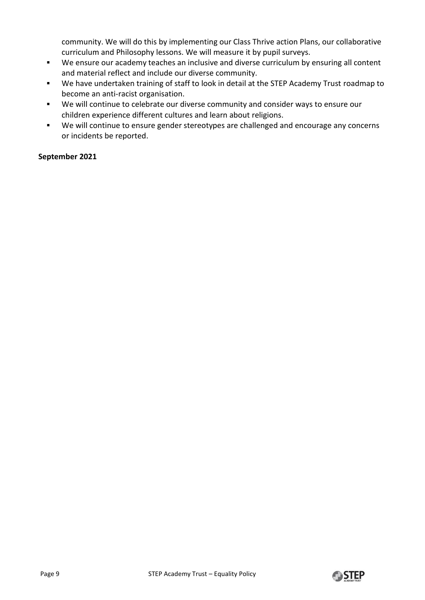community. We will do this by implementing our Class Thrive action Plans, our collaborative curriculum and Philosophy lessons. We will measure it by pupil surveys.

- We ensure our academy teaches an inclusive and diverse curriculum by ensuring all content and material reflect and include our diverse community.
- We have undertaken training of staff to look in detail at the STEP Academy Trust roadmap to become an anti-racist organisation.
- We will continue to celebrate our diverse community and consider ways to ensure our children experience different cultures and learn about religions.
- We will continue to ensure gender stereotypes are challenged and encourage any concerns or incidents be reported.

# **September 2021**

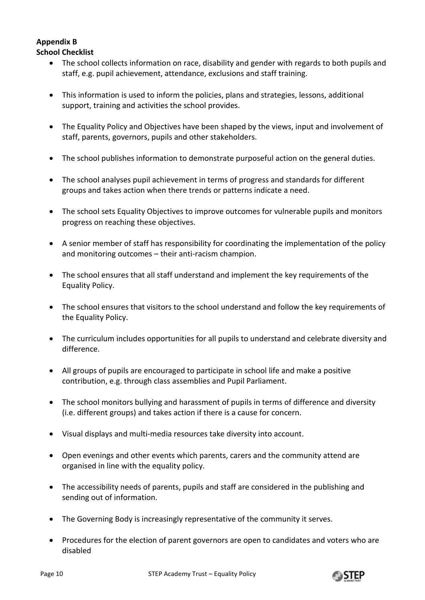# **Appendix B School Checklist**

- The school collects information on race, disability and gender with regards to both pupils and staff, e.g. pupil achievement, attendance, exclusions and staff training.
- This information is used to inform the policies, plans and strategies, lessons, additional support, training and activities the school provides.
- The Equality Policy and Objectives have been shaped by the views, input and involvement of staff, parents, governors, pupils and other stakeholders.
- The school publishes information to demonstrate purposeful action on the general duties.
- The school analyses pupil achievement in terms of progress and standards for different groups and takes action when there trends or patterns indicate a need.
- The school sets Equality Objectives to improve outcomes for vulnerable pupils and monitors progress on reaching these objectives.
- A senior member of staff has responsibility for coordinating the implementation of the policy and monitoring outcomes – their anti-racism champion.
- The school ensures that all staff understand and implement the key requirements of the Equality Policy.
- The school ensures that visitors to the school understand and follow the key requirements of the Equality Policy.
- The curriculum includes opportunities for all pupils to understand and celebrate diversity and difference.
- All groups of pupils are encouraged to participate in school life and make a positive contribution, e.g. through class assemblies and Pupil Parliament.
- The school monitors bullying and harassment of pupils in terms of difference and diversity (i.e. different groups) and takes action if there is a cause for concern.
- Visual displays and multi-media resources take diversity into account.
- Open evenings and other events which parents, carers and the community attend are organised in line with the equality policy.
- The accessibility needs of parents, pupils and staff are considered in the publishing and sending out of information.
- The Governing Body is increasingly representative of the community it serves.
- Procedures for the election of parent governors are open to candidates and voters who are disabled

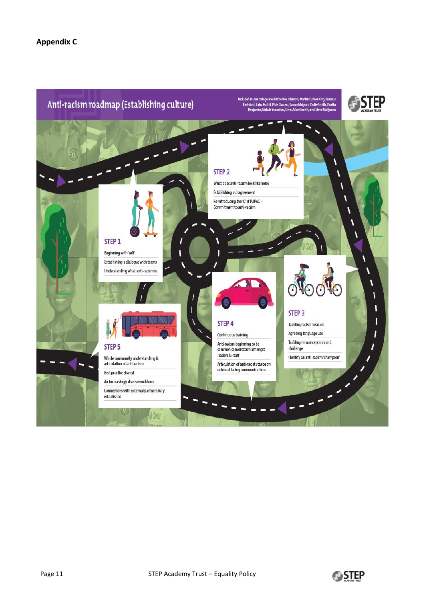### **Appendix C**